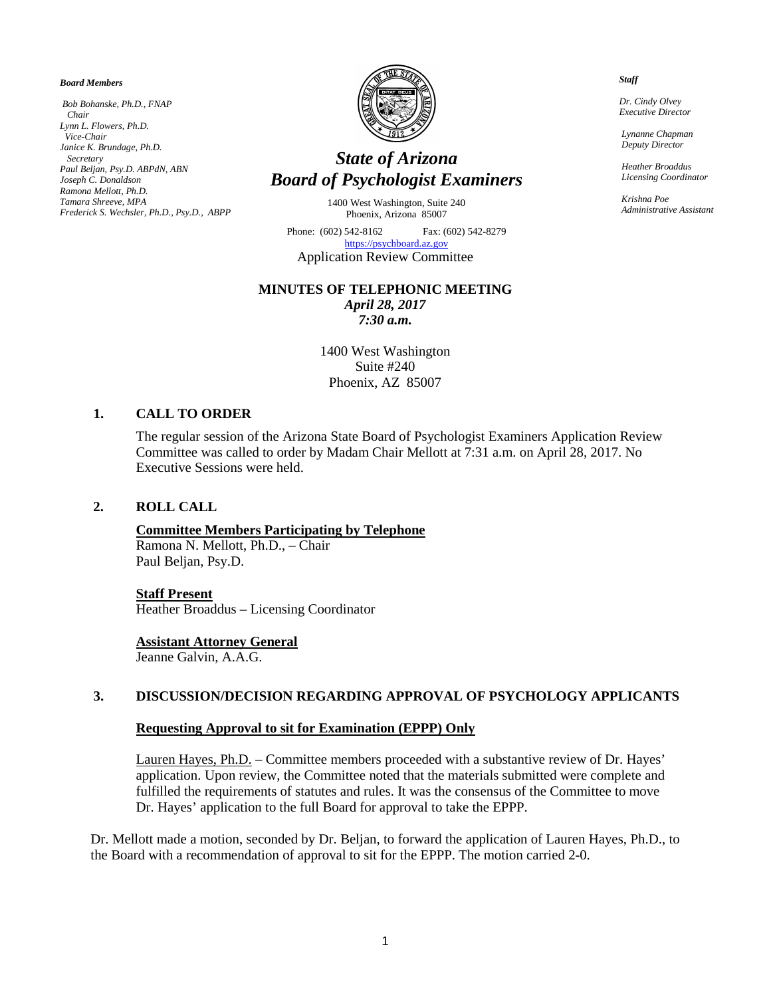#### *Board Members*

*Bob Bohanske, Ph.D., FNAP Chair Lynn L. Flowers, Ph.D. Vice-Chair Janice K. Brundage, Ph.D. Secretary Paul Beljan, Psy.D. ABPdN, ABN Joseph C. Donaldson Ramona Mellott, Ph.D. Tamara Shreeve, MPA Frederick S. Wechsler, Ph.D., Psy.D., ABPP*



# *State of Arizona Board of Psychologist Examiners*

1400 West Washington, Suite 240 Phoenix, Arizona 85007

Phone: (602) 542-8162 Fax: (602) 542-8279 [https://psychboard.az.gov](https://psychboard.az.gov/)  Application Review Committee

# **MINUTES OF TELEPHONIC MEETING**

*April 28, 2017 7:30 a.m.*

1400 West Washington Suite #240 Phoenix, AZ 85007

## **1. CALL TO ORDER**

The regular session of the Arizona State Board of Psychologist Examiners Application Review Committee was called to order by Madam Chair Mellott at 7:31 a.m. on April 28, 2017. No Executive Sessions were held.

## **2. ROLL CALL**

## **Committee Members Participating by Telephone**

Ramona N. Mellott, Ph.D., – Chair Paul Beljan, Psy.D.

#### **Staff Present**

Heather Broaddus – Licensing Coordinator

#### **Assistant Attorney General**

Jeanne Galvin, A.A.G.

## **3. DISCUSSION/DECISION REGARDING APPROVAL OF PSYCHOLOGY APPLICANTS**

## **Requesting Approval to sit for Examination (EPPP) Only**

Lauren Hayes, Ph.D. – Committee members proceeded with a substantive review of Dr. Hayes' application. Upon review, the Committee noted that the materials submitted were complete and fulfilled the requirements of statutes and rules. It was the consensus of the Committee to move Dr. Hayes' application to the full Board for approval to take the EPPP.

Dr. Mellott made a motion, seconded by Dr. Beljan, to forward the application of Lauren Hayes, Ph.D., to the Board with a recommendation of approval to sit for the EPPP. The motion carried 2-0.

#### *Staff*

 *Dr. Cindy Olvey Executive Director*

 *Lynanne Chapman Deputy Director*

 *Heather Broaddus Licensing Coordinator*

 *Krishna Poe Administrative Assistant*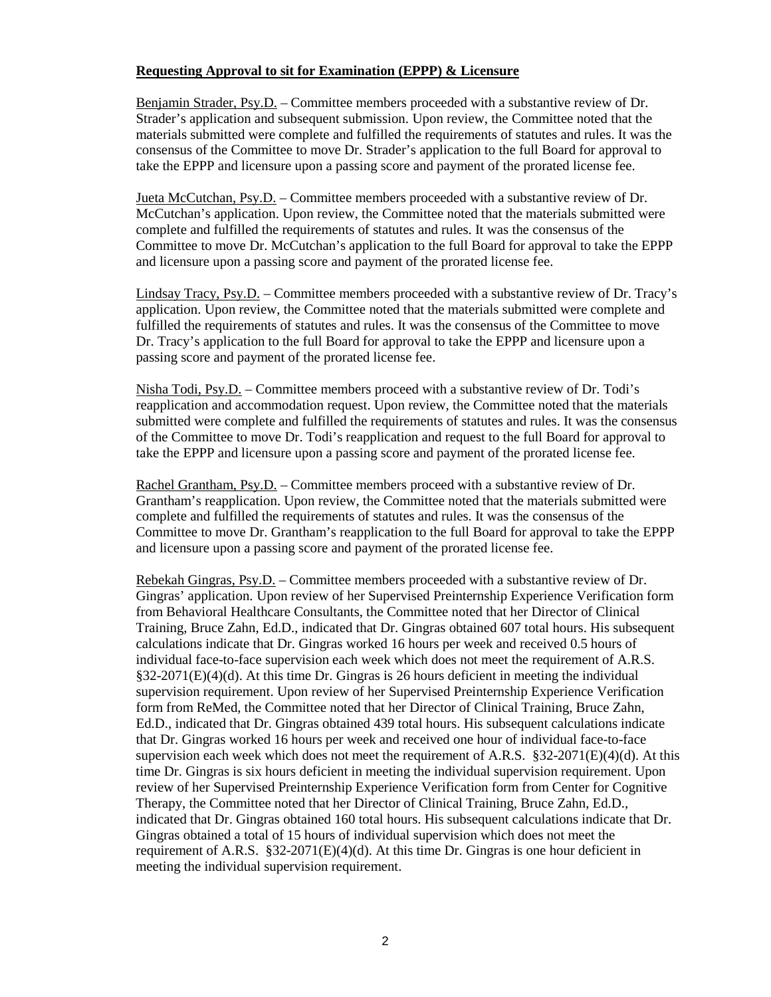# **Requesting Approval to sit for Examination (EPPP) & Licensure**

Benjamin Strader, Psy.D. – Committee members proceeded with a substantive review of Dr. Strader's application and subsequent submission. Upon review, the Committee noted that the materials submitted were complete and fulfilled the requirements of statutes and rules. It was the consensus of the Committee to move Dr. Strader's application to the full Board for approval to take the EPPP and licensure upon a passing score and payment of the prorated license fee.

Jueta McCutchan, Psy.D. – Committee members proceeded with a substantive review of Dr. McCutchan's application. Upon review, the Committee noted that the materials submitted were complete and fulfilled the requirements of statutes and rules. It was the consensus of the Committee to move Dr. McCutchan's application to the full Board for approval to take the EPPP and licensure upon a passing score and payment of the prorated license fee.

Lindsay Tracy, Psy.D. – Committee members proceeded with a substantive review of Dr. Tracy's application. Upon review, the Committee noted that the materials submitted were complete and fulfilled the requirements of statutes and rules. It was the consensus of the Committee to move Dr. Tracy's application to the full Board for approval to take the EPPP and licensure upon a passing score and payment of the prorated license fee.

Nisha Todi, Psy.D. – Committee members proceed with a substantive review of Dr. Todi's reapplication and accommodation request. Upon review, the Committee noted that the materials submitted were complete and fulfilled the requirements of statutes and rules. It was the consensus of the Committee to move Dr. Todi's reapplication and request to the full Board for approval to take the EPPP and licensure upon a passing score and payment of the prorated license fee.

Rachel Grantham, Psy.D. – Committee members proceed with a substantive review of Dr. Grantham's reapplication. Upon review, the Committee noted that the materials submitted were complete and fulfilled the requirements of statutes and rules. It was the consensus of the Committee to move Dr. Grantham's reapplication to the full Board for approval to take the EPPP and licensure upon a passing score and payment of the prorated license fee.

Rebekah Gingras, Psy.D. – Committee members proceeded with a substantive review of Dr. Gingras' application. Upon review of her Supervised Preinternship Experience Verification form from Behavioral Healthcare Consultants, the Committee noted that her Director of Clinical Training, Bruce Zahn, Ed.D., indicated that Dr. Gingras obtained 607 total hours. His subsequent calculations indicate that Dr. Gingras worked 16 hours per week and received 0.5 hours of individual face-to-face supervision each week which does not meet the requirement of A.R.S. §32-2071(E)(4)(d). At this time Dr. Gingras is 26 hours deficient in meeting the individual supervision requirement. Upon review of her Supervised Preinternship Experience Verification form from ReMed, the Committee noted that her Director of Clinical Training, Bruce Zahn, Ed.D., indicated that Dr. Gingras obtained 439 total hours. His subsequent calculations indicate that Dr. Gingras worked 16 hours per week and received one hour of individual face-to-face supervision each week which does not meet the requirement of A.R.S.  $\S 32-2071(E)(4)(d)$ . At this time Dr. Gingras is six hours deficient in meeting the individual supervision requirement. Upon review of her Supervised Preinternship Experience Verification form from Center for Cognitive Therapy, the Committee noted that her Director of Clinical Training, Bruce Zahn, Ed.D., indicated that Dr. Gingras obtained 160 total hours. His subsequent calculations indicate that Dr. Gingras obtained a total of 15 hours of individual supervision which does not meet the requirement of A.R.S. §32-2071(E)(4)(d). At this time Dr. Gingras is one hour deficient in meeting the individual supervision requirement.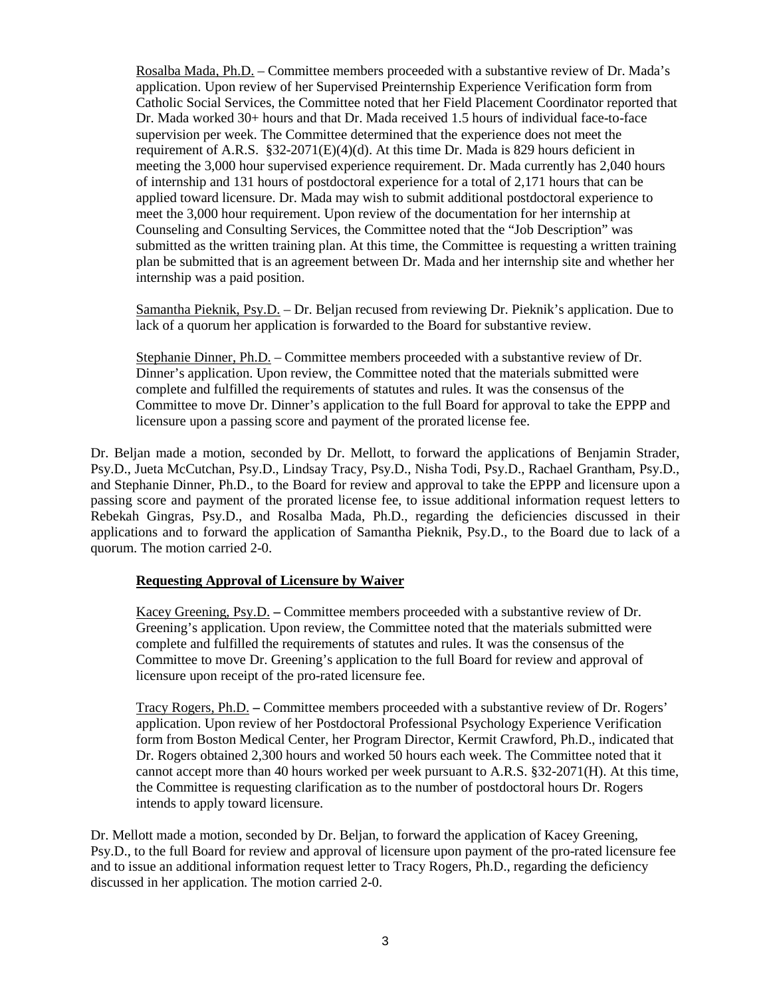Rosalba Mada, Ph.D. – Committee members proceeded with a substantive review of Dr. Mada's application. Upon review of her Supervised Preinternship Experience Verification form from Catholic Social Services, the Committee noted that her Field Placement Coordinator reported that Dr. Mada worked 30+ hours and that Dr. Mada received 1.5 hours of individual face-to-face supervision per week. The Committee determined that the experience does not meet the requirement of A.R.S. §32-2071(E)(4)(d). At this time Dr. Mada is 829 hours deficient in meeting the 3,000 hour supervised experience requirement. Dr. Mada currently has 2,040 hours of internship and 131 hours of postdoctoral experience for a total of 2,171 hours that can be applied toward licensure. Dr. Mada may wish to submit additional postdoctoral experience to meet the 3,000 hour requirement. Upon review of the documentation for her internship at Counseling and Consulting Services, the Committee noted that the "Job Description" was submitted as the written training plan. At this time, the Committee is requesting a written training plan be submitted that is an agreement between Dr. Mada and her internship site and whether her internship was a paid position.

Samantha Pieknik, Psy.D. – Dr. Beljan recused from reviewing Dr. Pieknik's application. Due to lack of a quorum her application is forwarded to the Board for substantive review.

Stephanie Dinner, Ph.D. – Committee members proceeded with a substantive review of Dr. Dinner's application. Upon review, the Committee noted that the materials submitted were complete and fulfilled the requirements of statutes and rules. It was the consensus of the Committee to move Dr. Dinner's application to the full Board for approval to take the EPPP and licensure upon a passing score and payment of the prorated license fee.

Dr. Beljan made a motion, seconded by Dr. Mellott, to forward the applications of Benjamin Strader, Psy.D., Jueta McCutchan, Psy.D., Lindsay Tracy, Psy.D., Nisha Todi, Psy.D., Rachael Grantham, Psy.D., and Stephanie Dinner, Ph.D., to the Board for review and approval to take the EPPP and licensure upon a passing score and payment of the prorated license fee, to issue additional information request letters to Rebekah Gingras, Psy.D., and Rosalba Mada, Ph.D., regarding the deficiencies discussed in their applications and to forward the application of Samantha Pieknik, Psy.D., to the Board due to lack of a quorum. The motion carried 2-0.

# **Requesting Approval of Licensure by Waiver**

Kacey Greening, Psy.D. **–** Committee members proceeded with a substantive review of Dr. Greening's application. Upon review, the Committee noted that the materials submitted were complete and fulfilled the requirements of statutes and rules. It was the consensus of the Committee to move Dr. Greening's application to the full Board for review and approval of licensure upon receipt of the pro-rated licensure fee.

Tracy Rogers, Ph.D. **–** Committee members proceeded with a substantive review of Dr. Rogers' application. Upon review of her Postdoctoral Professional Psychology Experience Verification form from Boston Medical Center, her Program Director, Kermit Crawford, Ph.D., indicated that Dr. Rogers obtained 2,300 hours and worked 50 hours each week. The Committee noted that it cannot accept more than 40 hours worked per week pursuant to A.R.S. §32-2071(H). At this time, the Committee is requesting clarification as to the number of postdoctoral hours Dr. Rogers intends to apply toward licensure.

Dr. Mellott made a motion, seconded by Dr. Beljan, to forward the application of Kacey Greening, Psy.D., to the full Board for review and approval of licensure upon payment of the pro-rated licensure fee and to issue an additional information request letter to Tracy Rogers, Ph.D., regarding the deficiency discussed in her application. The motion carried 2-0.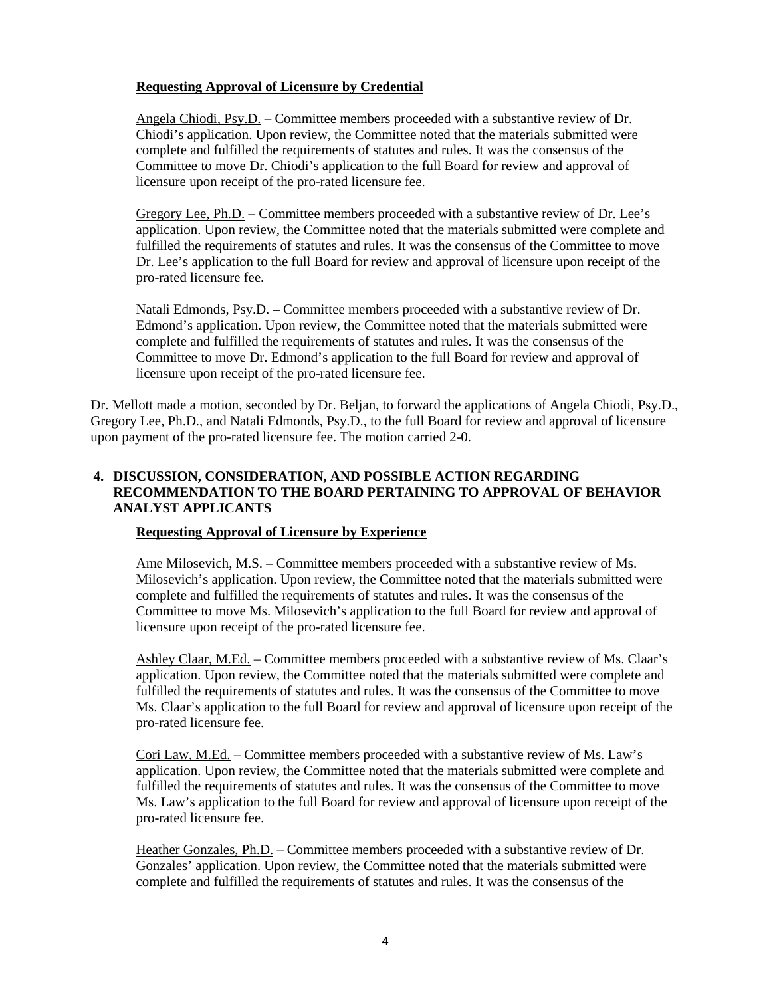# **Requesting Approval of Licensure by Credential**

Angela Chiodi, Psy.D. **–** Committee members proceeded with a substantive review of Dr. Chiodi's application. Upon review, the Committee noted that the materials submitted were complete and fulfilled the requirements of statutes and rules. It was the consensus of the Committee to move Dr. Chiodi's application to the full Board for review and approval of licensure upon receipt of the pro-rated licensure fee.

Gregory Lee, Ph.D. **–** Committee members proceeded with a substantive review of Dr. Lee's application. Upon review, the Committee noted that the materials submitted were complete and fulfilled the requirements of statutes and rules. It was the consensus of the Committee to move Dr. Lee's application to the full Board for review and approval of licensure upon receipt of the pro-rated licensure fee.

Natali Edmonds, Psy.D. **–** Committee members proceeded with a substantive review of Dr. Edmond's application. Upon review, the Committee noted that the materials submitted were complete and fulfilled the requirements of statutes and rules. It was the consensus of the Committee to move Dr. Edmond's application to the full Board for review and approval of licensure upon receipt of the pro-rated licensure fee.

Dr. Mellott made a motion, seconded by Dr. Beljan, to forward the applications of Angela Chiodi, Psy.D., Gregory Lee, Ph.D., and Natali Edmonds, Psy.D., to the full Board for review and approval of licensure upon payment of the pro-rated licensure fee. The motion carried 2-0.

# **4. DISCUSSION, CONSIDERATION, AND POSSIBLE ACTION REGARDING RECOMMENDATION TO THE BOARD PERTAINING TO APPROVAL OF BEHAVIOR ANALYST APPLICANTS**

# **Requesting Approval of Licensure by Experience**

Ame Milosevich, M.S. – Committee members proceeded with a substantive review of Ms. Milosevich's application. Upon review, the Committee noted that the materials submitted were complete and fulfilled the requirements of statutes and rules. It was the consensus of the Committee to move Ms. Milosevich's application to the full Board for review and approval of licensure upon receipt of the pro-rated licensure fee.

Ashley Claar, M.Ed. – Committee members proceeded with a substantive review of Ms. Claar's application. Upon review, the Committee noted that the materials submitted were complete and fulfilled the requirements of statutes and rules. It was the consensus of the Committee to move Ms. Claar's application to the full Board for review and approval of licensure upon receipt of the pro-rated licensure fee.

Cori Law, M.Ed. – Committee members proceeded with a substantive review of Ms. Law's application. Upon review, the Committee noted that the materials submitted were complete and fulfilled the requirements of statutes and rules. It was the consensus of the Committee to move Ms. Law's application to the full Board for review and approval of licensure upon receipt of the pro-rated licensure fee.

Heather Gonzales, Ph.D. – Committee members proceeded with a substantive review of Dr. Gonzales' application. Upon review, the Committee noted that the materials submitted were complete and fulfilled the requirements of statutes and rules. It was the consensus of the